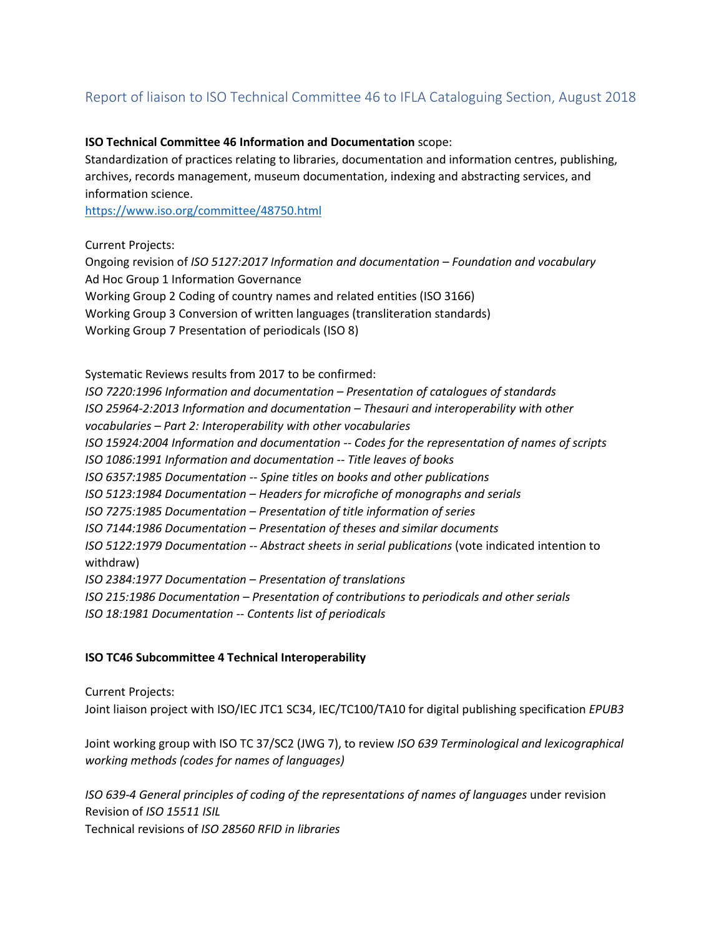# Report of liaison to ISO Technical Committee 46 to IFLA Cataloguing Section, August 2018

#### **ISO Technical Committee 46 Information and Documentation** scope:

Standardization of practices relating to libraries, documentation and information centres, publishing, archives, records management, museum documentation, indexing and abstracting services, and information science.

<https://www.iso.org/committee/48750.html>

#### Current Projects:

Ongoing revision of *ISO 5127:2017 Information and documentation – Foundation and vocabulary* Ad Hoc Group 1 Information Governance Working Group 2 Coding of country names and related entities (ISO 3166) Working Group 3 Conversion of written languages (transliteration standards) Working Group 7 Presentation of periodicals (ISO 8)

Systematic Reviews results from 2017 to be confirmed:

*ISO 7220:1996 Information and documentation – Presentation of catalogues of standards ISO 25964-2:2013 Information and documentation – Thesauri and interoperability with other vocabularies – Part 2: Interoperability with other vocabularies ISO 15924:2004 Information and documentation -- Codes for the representation of names of scripts ISO 1086:1991 Information and documentation -- Title leaves of books ISO 6357:1985 Documentation -- Spine titles on books and other publications ISO 5123:1984 Documentation – Headers for microfiche of monographs and serials ISO 7275:1985 Documentation – Presentation of title information of series ISO 7144:1986 Documentation – Presentation of theses and similar documents ISO 5122:1979 Documentation -- Abstract sheets in serial publications* (vote indicated intention to withdraw) *ISO 2384:1977 Documentation – Presentation of translations ISO 215:1986 Documentation – Presentation of contributions to periodicals and other serials ISO 18:1981 Documentation -- Contents list of periodicals*

## **ISO TC46 Subcommittee 4 Technical Interoperability**

Current Projects:

Joint liaison project with ISO/IEC JTC1 SC34, IEC/TC100/TA10 for digital publishing specification *EPUB3*

Joint working group with ISO TC 37/SC2 (JWG 7), to review *ISO 639 Terminological and lexicographical working methods (codes for names of languages)*

*ISO 639-4 General principles of coding of the representations of names of languages* under revision Revision of *ISO 15511 ISIL* Technical revisions of *ISO 28560 RFID in libraries*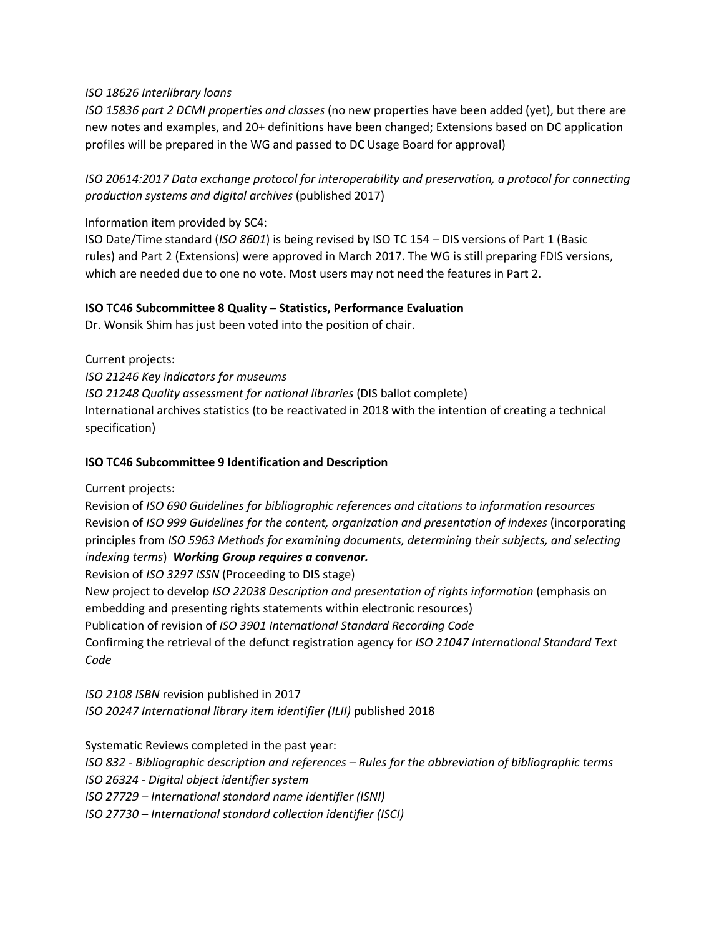## *ISO 18626 Interlibrary loans*

*ISO 15836 part 2 DCMI properties and classes* (no new properties have been added (yet), but there are new notes and examples, and 20+ definitions have been changed; Extensions based on DC application profiles will be prepared in the WG and passed to DC Usage Board for approval)

*ISO 20614:2017 Data exchange protocol for interoperability and preservation, a protocol for connecting production systems and digital archives* (published 2017)

Information item provided by SC4:

ISO Date/Time standard (*ISO 8601*) is being revised by ISO TC 154 – DIS versions of Part 1 (Basic rules) and Part 2 (Extensions) were approved in March 2017. The WG is still preparing FDIS versions, which are needed due to one no vote. Most users may not need the features in Part 2.

#### **ISO TC46 Subcommittee 8 Quality – Statistics, Performance Evaluation**

Dr. Wonsik Shim has just been voted into the position of chair.

Current projects: *ISO 21246 Key indicators for museums ISO 21248 Quality assessment for national libraries* (DIS ballot complete) International archives statistics (to be reactivated in 2018 with the intention of creating a technical specification)

#### **ISO TC46 Subcommittee 9 Identification and Description**

Current projects:

Revision of *ISO 690 Guidelines for bibliographic references and citations to information resources* Revision of *ISO 999 Guidelines for the content, organization and presentation of indexes* (incorporating principles from *ISO 5963 Methods for examining documents, determining their subjects, and selecting indexing terms*) *Working Group requires a convenor.*

Revision of *ISO 3297 ISSN* (Proceeding to DIS stage)

New project to develop *ISO 22038 Description and presentation of rights information* (emphasis on embedding and presenting rights statements within electronic resources)

Publication of revision of *ISO 3901 International Standard Recording Code*

Confirming the retrieval of the defunct registration agency for *ISO 21047 International Standard Text Code*

*ISO 2108 ISBN* revision published in 2017 *ISO 20247 International library item identifier (ILII)* published 2018

Systematic Reviews completed in the past year: *ISO 832 - Bibliographic description and references – Rules for the abbreviation of bibliographic terms ISO 26324 - Digital object identifier system ISO 27729 – International standard name identifier (ISNI) ISO 27730 – International standard collection identifier (ISCI)*